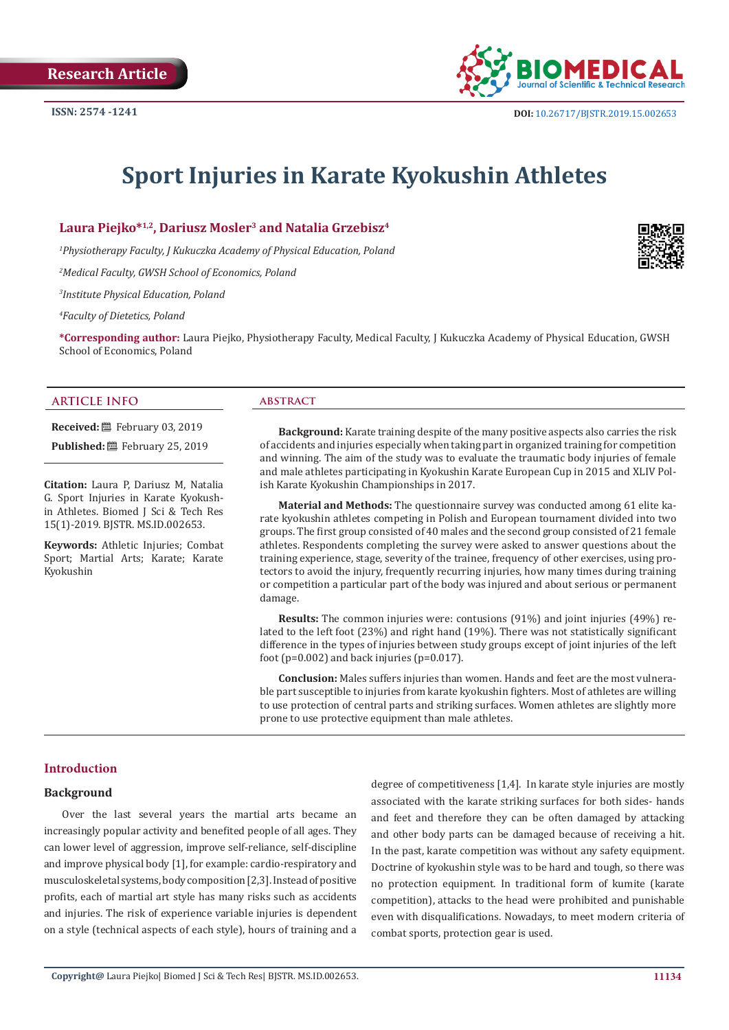

# **Sport Injuries in Karate Kyokushin Athletes**

**Laura Piejko\*1,2, Dariusz Mosler3 and Natalia Grzebisz4**

*1 Physiotherapy Faculty, J Kukuczka Academy of Physical Education, Poland* 

*2 Medical Faculty, GWSH School of Economics, Poland*

*3 Institute Physical Education, Poland*

*4 Faculty of Dietetics, Poland*

**\*Corresponding author:** Laura Piejko, Physiotherapy Faculty, Medical Faculty, J Kukuczka Academy of Physical Education, GWSH School of Economics, Poland

#### **ARTICLE INFO abstract**

**Received:** February 03, 2019

Published: **■**February 25, 2019

**Citation:** Laura P, Dariusz M, Natalia G. Sport Injuries in Karate Kyokushin Athletes. Biomed J Sci & Tech Res 15(1)-2019. BJSTR. MS.ID.002653.

**Keywords:** Athletic Injuries; Combat Sport; Martial Arts; Karate; Karate Kyokushin

**Background:** Karate training despite of the many positive aspects also carries the risk of accidents and injuries especially when taking part in organized training for competition and winning. The aim of the study was to evaluate the traumatic body injuries of female and male athletes participating in Kyokushin Karate European Cup in 2015 and XLIV Polish Karate Kyokushin Championships in 2017.

**Material and Methods:** The questionnaire survey was conducted among 61 elite karate kyokushin athletes competing in Polish and European tournament divided into two groups. The first group consisted of 40 males and the second group consisted of 21 female athletes. Respondents completing the survey were asked to answer questions about the training experience, stage, severity of the trainee, frequency of other exercises, using protectors to avoid the injury, frequently recurring injuries, how many times during training or competition a particular part of the body was injured and about serious or permanent damage.

**Results:** The common injuries were: contusions (91%) and joint injuries (49%) related to the left foot (23%) and right hand (19%). There was not statistically significant difference in the types of injuries between study groups except of joint injuries of the left foot ( $p=0.002$ ) and back injuries ( $p=0.017$ ).

**Conclusion:** Males suffers injuries than women. Hands and feet are the most vulnerable part susceptible to injuries from karate kyokushin fighters. Most of athletes are willing to use protection of central parts and striking surfaces. Women athletes are slightly more prone to use protective equipment than male athletes.

# **Introduction**

# **Background**

Over the last several years the martial arts became an increasingly popular activity and benefited people of all ages. They can lower level of aggression, improve self-reliance, self-discipline and improve physical body [1], for example: cardio-respiratory and musculoskeletal systems, body composition [2,3]. Instead of positive profits, each of martial art style has many risks such as accidents and injuries. The risk of experience variable injuries is dependent on a style (technical aspects of each style), hours of training and a

degree of competitiveness [1,4]. In karate style injuries are mostly associated with the karate striking surfaces for both sides- hands and feet and therefore they can be often damaged by attacking and other body parts can be damaged because of receiving a hit. In the past, karate competition was without any safety equipment. Doctrine of kyokushin style was to be hard and tough, so there was no protection equipment. In traditional form of kumite (karate competition), attacks to the head were prohibited and punishable even with disqualifications. Nowadays, to meet modern criteria of combat sports, protection gear is used.

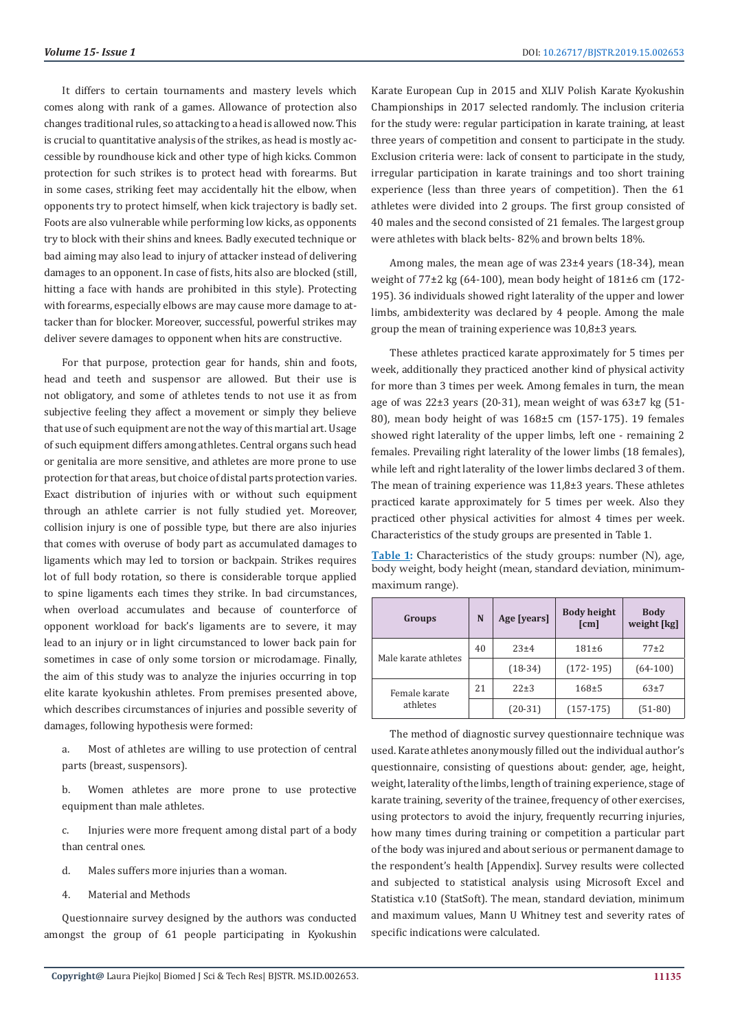It differs to certain tournaments and mastery levels which comes along with rank of a games. Allowance of protection also changes traditional rules, so attacking to a head is allowed now. This is crucial to quantitative analysis of the strikes, as head is mostly accessible by roundhouse kick and other type of high kicks. Common protection for such strikes is to protect head with forearms. But in some cases, striking feet may accidentally hit the elbow, when opponents try to protect himself, when kick trajectory is badly set. Foots are also vulnerable while performing low kicks, as opponents try to block with their shins and knees. Badly executed technique or bad aiming may also lead to injury of attacker instead of delivering damages to an opponent. In case of fists, hits also are blocked (still, hitting a face with hands are prohibited in this style). Protecting with forearms, especially elbows are may cause more damage to attacker than for blocker. Moreover, successful, powerful strikes may deliver severe damages to opponent when hits are constructive.

For that purpose, protection gear for hands, shin and foots, head and teeth and suspensor are allowed. But their use is not obligatory, and some of athletes tends to not use it as from subjective feeling they affect a movement or simply they believe that use of such equipment are not the way of this martial art. Usage of such equipment differs among athletes. Central organs such head or genitalia are more sensitive, and athletes are more prone to use protection for that areas, but choice of distal parts protection varies. Exact distribution of injuries with or without such equipment through an athlete carrier is not fully studied yet. Moreover, collision injury is one of possible type, but there are also injuries that comes with overuse of body part as accumulated damages to ligaments which may led to torsion or backpain. Strikes requires lot of full body rotation, so there is considerable torque applied to spine ligaments each times they strike. In bad circumstances, when overload accumulates and because of counterforce of opponent workload for back's ligaments are to severe, it may lead to an injury or in light circumstanced to lower back pain for sometimes in case of only some torsion or microdamage. Finally, the aim of this study was to analyze the injuries occurring in top elite karate kyokushin athletes. From premises presented above, which describes circumstances of injuries and possible severity of damages, following hypothesis were formed:

- a. Most of athletes are willing to use protection of central parts (breast, suspensors).
- b. Women athletes are more prone to use protective equipment than male athletes.
- c. Injuries were more frequent among distal part of a body than central ones.
- d. Males suffers more injuries than a woman.
- 4. Material and Methods

Questionnaire survey designed by the authors was conducted amongst the group of 61 people participating in Kyokushin

Karate European Cup in 2015 and XLIV Polish Karate Kyokushin Championships in 2017 selected randomly. The inclusion criteria for the study were: regular participation in karate training, at least three years of competition and consent to participate in the study. Exclusion criteria were: lack of consent to participate in the study, irregular participation in karate trainings and too short training experience (less than three years of competition). Then the 61 athletes were divided into 2 groups. The first group consisted of 40 males and the second consisted of 21 females. The largest group were athletes with black belts- 82% and brown belts 18%.

Among males, the mean age of was 23±4 years (18-34), mean weight of 77±2 kg (64-100), mean body height of 181±6 cm (172- 195). 36 individuals showed right laterality of the upper and lower limbs, ambidexterity was declared by 4 people. Among the male group the mean of training experience was 10,8±3 years.

These athletes practiced karate approximately for 5 times per week, additionally they practiced another kind of physical activity for more than 3 times per week. Among females in turn, the mean age of was 22±3 years (20-31), mean weight of was 63±7 kg (51- 80), mean body height of was 168±5 cm (157-175). 19 females showed right laterality of the upper limbs, left one - remaining 2 females. Prevailing right laterality of the lower limbs (18 females), while left and right laterality of the lower limbs declared 3 of them. The mean of training experience was 11,8±3 years. These athletes practiced karate approximately for 5 times per week. Also they practiced other physical activities for almost 4 times per week. Characteristics of the study groups are presented in Table 1.

**Table 1:** Characteristics of the study groups: number (N), age, body weight, body height (mean, standard deviation, minimummaximum range).

| Groups               | N  | Age [years] | <b>Body height</b><br>$\lceil$ cm $\rceil$ | <b>Body</b><br>weight [kg] |
|----------------------|----|-------------|--------------------------------------------|----------------------------|
| Male karate athletes | 40 | $23 + 4$    | $181 \pm 6$                                | $77+2$                     |
|                      |    | $(18-34)$   | $(172 - 195)$                              | $(64-100)$                 |
| Female karate        | 21 | 22±3        | $168 + 5$                                  | $63+7$                     |
| athletes             |    | $(20-31)$   | $(157-175)$                                | $(51-80)$                  |

The method of diagnostic survey questionnaire technique was used. Karate athletes anonymously filled out the individual author's questionnaire, consisting of questions about: gender, age, height, weight, laterality of the limbs, length of training experience, stage of karate training, severity of the trainee, frequency of other exercises, using protectors to avoid the injury, frequently recurring injuries, how many times during training or competition a particular part of the body was injured and about serious or permanent damage to the respondent's health [Appendix]. Survey results were collected and subjected to statistical analysis using Microsoft Excel and Statistica v.10 (StatSoft). The mean, standard deviation, minimum and maximum values, Mann U Whitney test and severity rates of specific indications were calculated.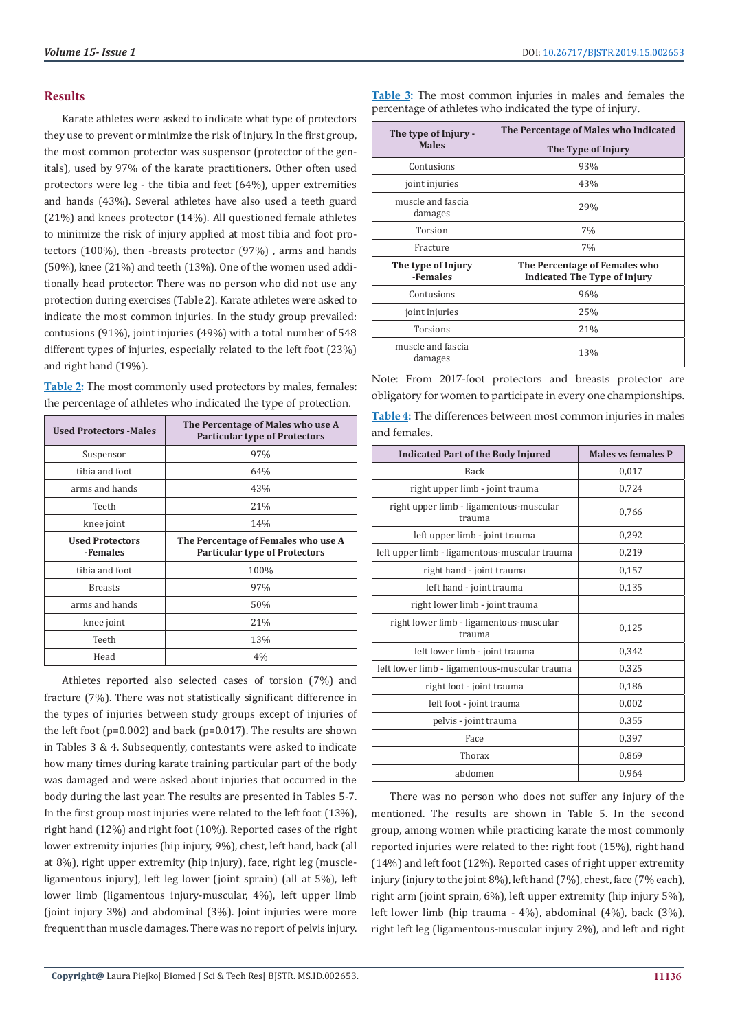### **Results**

Karate athletes were asked to indicate what type of protectors they use to prevent or minimize the risk of injury. In the first group, the most common protector was suspensor (protector of the genitals), used by 97% of the karate practitioners. Other often used protectors were leg - the tibia and feet (64%), upper extremities and hands (43%). Several athletes have also used a teeth guard (21%) and knees protector (14%). All questioned female athletes to minimize the risk of injury applied at most tibia and foot protectors (100%), then -breasts protector (97%) , arms and hands (50%), knee (21%) and teeth (13%). One of the women used additionally head protector. There was no person who did not use any protection during exercises (Table 2). Karate athletes were asked to indicate the most common injuries. In the study group prevailed: contusions (91%), joint injuries (49%) with a total number of 548 different types of injuries, especially related to the left foot (23%) and right hand (19%).

**Table 2:** The most commonly used protectors by males, females: the percentage of athletes who indicated the type of protection.

| <b>Used Protectors - Males</b>     | The Percentage of Males who use A<br><b>Particular type of Protectors</b>   |
|------------------------------------|-----------------------------------------------------------------------------|
| Suspensor                          | 97%                                                                         |
| tibia and foot                     | 64%                                                                         |
| arms and hands                     | 43%                                                                         |
| Teeth                              | 21%                                                                         |
| knee joint                         | 14%                                                                         |
| <b>Used Protectors</b><br>-Females | The Percentage of Females who use A<br><b>Particular type of Protectors</b> |
| tibia and foot                     | 100%                                                                        |
| <b>Breasts</b>                     | 97%                                                                         |
| arms and hands                     | 50%                                                                         |
| knee joint                         | 21%                                                                         |
| Teeth                              | 13%                                                                         |
| Head                               | 4%                                                                          |

Athletes reported also selected cases of torsion (7%) and fracture (7%). There was not statistically significant difference in the types of injuries between study groups except of injuries of the left foot ( $p=0.002$ ) and back ( $p=0.017$ ). The results are shown in Tables 3 & 4. Subsequently, contestants were asked to indicate how many times during karate training particular part of the body was damaged and were asked about injuries that occurred in the body during the last year. The results are presented in Tables 5-7. In the first group most injuries were related to the left foot (13%), right hand (12%) and right foot (10%). Reported cases of the right lower extremity injuries (hip injury, 9%), chest, left hand, back (all at 8%), right upper extremity (hip injury), face, right leg (muscleligamentous injury), left leg lower (joint sprain) (all at 5%), left lower limb (ligamentous injury-muscular, 4%), left upper limb (joint injury 3%) and abdominal (3%). Joint injuries were more frequent than muscle damages. There was no report of pelvis injury.

**Table 3:** The most common injuries in males and females the percentage of athletes who indicated the type of injury.

| The type of Injury -           | The Percentage of Males who Indicated                                |
|--------------------------------|----------------------------------------------------------------------|
| <b>Males</b>                   | The Type of Injury                                                   |
| Contusions                     | 93%                                                                  |
| joint injuries                 | 43%                                                                  |
| muscle and fascia<br>damages   | 29%                                                                  |
| Torsion                        | 7%                                                                   |
| Fracture                       | 7%                                                                   |
| The type of Injury<br>-Females | The Percentage of Females who<br><b>Indicated The Type of Injury</b> |
| Contusions                     | 96%                                                                  |
| joint injuries                 | 25%                                                                  |
| <b>Torsions</b>                | 21%                                                                  |
| muscle and fascia<br>damages   | 13%                                                                  |

Note: From 2017-foot protectors and breasts protector are obligatory for women to participate in every one championships.

**Table 4:** The differences between most common injuries in males and females.

| <b>Indicated Part of the Body Injured</b>         | <b>Males vs females P</b> |
|---------------------------------------------------|---------------------------|
| <b>Back</b>                                       | 0,017                     |
| right upper limb - joint trauma                   | 0,724                     |
| right upper limb - ligamentous-muscular<br>trauma | 0,766                     |
| left upper limb - joint trauma                    | 0,292                     |
| left upper limb - ligamentous-muscular trauma     | 0,219                     |
| right hand - joint trauma                         | 0,157                     |
| left hand - joint trauma                          | 0,135                     |
| right lower limb - joint trauma                   |                           |
| right lower limb - ligamentous-muscular<br>trauma | 0,125                     |
| left lower limb - joint trauma                    | 0,342                     |
| left lower limb - ligamentous-muscular trauma     | 0,325                     |
| right foot - joint trauma                         | 0,186                     |
| left foot - joint trauma                          | 0,002                     |
| pelvis - joint trauma                             | 0,355                     |
| Face                                              | 0,397                     |
| Thorax                                            | 0,869                     |
| abdomen                                           | 0.964                     |

There was no person who does not suffer any injury of the mentioned. The results are shown in Table 5. In the second group, among women while practicing karate the most commonly reported injuries were related to the: right foot (15%), right hand (14%) and left foot (12%). Reported cases of right upper extremity injury (injury to the joint 8%), left hand (7%), chest, face (7% each), right arm (joint sprain, 6%), left upper extremity (hip injury 5%), left lower limb (hip trauma - 4%), abdominal (4%), back (3%), right left leg (ligamentous-muscular injury 2%), and left and right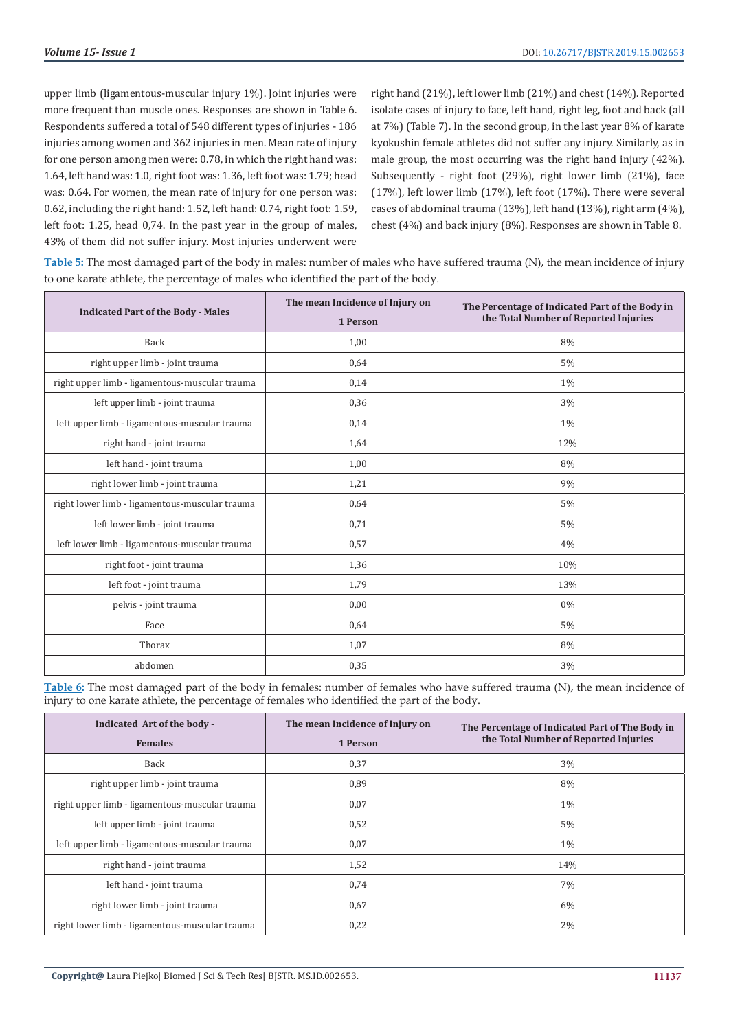upper limb (ligamentous-muscular injury 1%). Joint injuries were more frequent than muscle ones. Responses are shown in Table 6. Respondents suffered a total of 548 different types of injuries - 186 injuries among women and 362 injuries in men. Mean rate of injury for one person among men were: 0.78, in which the right hand was: 1.64, left hand was: 1.0, right foot was: 1.36, left foot was: 1.79; head was: 0.64. For women, the mean rate of injury for one person was: 0.62, including the right hand: 1.52, left hand: 0.74, right foot: 1.59, left foot: 1.25, head 0,74. In the past year in the group of males, 43% of them did not suffer injury. Most injuries underwent were

right hand (21%), left lower limb (21%) and chest (14%). Reported isolate cases of injury to face, left hand, right leg, foot and back (all at 7%) (Table 7). In the second group, in the last year 8% of karate kyokushin female athletes did not suffer any injury. Similarly, as in male group, the most occurring was the right hand injury (42%). Subsequently - right foot (29%), right lower limb (21%), face (17%), left lower limb (17%), left foot (17%). There were several cases of abdominal trauma (13%), left hand (13%), right arm (4%), chest (4%) and back injury (8%). Responses are shown in Table 8.

**Table 5:** The most damaged part of the body in males: number of males who have suffered trauma (N), the mean incidence of injury to one karate athlete, the percentage of males who identified the part of the body.

| <b>Indicated Part of the Body - Males</b>      | The mean Incidence of Injury on<br>1 Person | The Percentage of Indicated Part of the Body in<br>the Total Number of Reported Injuries |
|------------------------------------------------|---------------------------------------------|------------------------------------------------------------------------------------------|
| Back                                           | 1,00                                        | 8%                                                                                       |
| right upper limb - joint trauma                | 0,64                                        | 5%                                                                                       |
| right upper limb - ligamentous-muscular trauma | 0,14                                        | 1%                                                                                       |
| left upper limb - joint trauma                 | 0,36                                        | 3%                                                                                       |
| left upper limb - ligamentous-muscular trauma  | 0,14                                        | 1%                                                                                       |
| right hand - joint trauma                      | 1,64                                        | 12%                                                                                      |
| left hand - joint trauma                       | 1,00                                        | 8%                                                                                       |
| right lower limb - joint trauma                | 1,21                                        | 9%                                                                                       |
| right lower limb - ligamentous-muscular trauma | 0,64                                        | 5%                                                                                       |
| left lower limb - joint trauma                 | 0,71                                        | 5%                                                                                       |
| left lower limb - ligamentous-muscular trauma  | 0,57                                        | 4%                                                                                       |
| right foot - joint trauma                      | 1,36                                        | 10%                                                                                      |
| left foot - joint trauma                       | 1,79                                        | 13%                                                                                      |
| pelvis - joint trauma                          | 0,00                                        | 0%                                                                                       |
| Face                                           | 0,64                                        | 5%                                                                                       |
| Thorax                                         | 1,07                                        | 8%                                                                                       |
| abdomen                                        | 0,35                                        | 3%                                                                                       |

**Table 6:** The most damaged part of the body in females: number of females who have suffered trauma (N), the mean incidence of injury to one karate athlete, the percentage of females who identified the part of the body.

| Indicated Art of the body -<br><b>Females</b>  | The mean Incidence of Injury on<br>1 Person | The Percentage of Indicated Part of The Body in<br>the Total Number of Reported Injuries |
|------------------------------------------------|---------------------------------------------|------------------------------------------------------------------------------------------|
| Back                                           | 0,37                                        | 3%                                                                                       |
| right upper limb - joint trauma                | 0,89                                        | 8%                                                                                       |
| right upper limb - ligamentous-muscular trauma | 0,07                                        | $1\%$                                                                                    |
| left upper limb - joint trauma                 | 0,52                                        | $5\%$                                                                                    |
| left upper limb - ligamentous-muscular trauma  | 0,07                                        | $1\%$                                                                                    |
| right hand - joint trauma                      | 1,52                                        | 14%                                                                                      |
| left hand - joint trauma                       | 0,74                                        | 7%                                                                                       |
| right lower limb - joint trauma                | 0.67                                        | 6%                                                                                       |
| right lower limb - ligamentous-muscular trauma | 0,22                                        | 2%                                                                                       |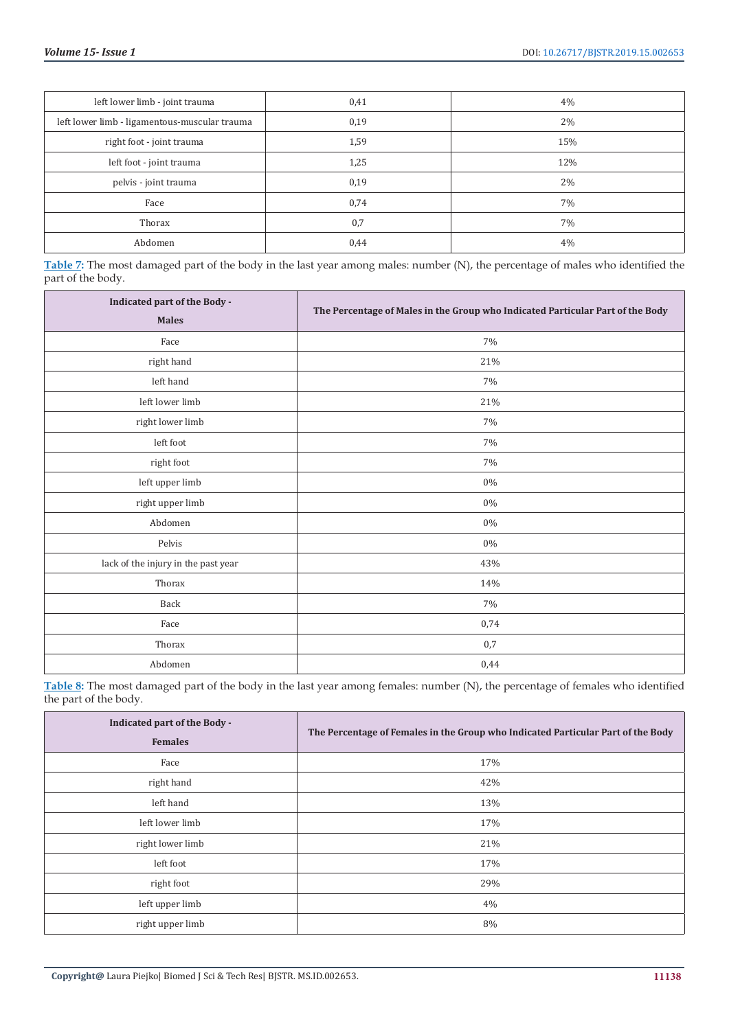| left lower limb - joint trauma                | 0,41 | 4%  |
|-----------------------------------------------|------|-----|
| left lower limb - ligamentous-muscular trauma | 0,19 | 2%  |
| right foot - joint trauma                     | 1,59 | 15% |
| left foot - joint trauma                      | 1,25 | 12% |
| pelvis - joint trauma                         | 0,19 | 2%  |
| Face                                          | 0,74 | 7%  |
| Thorax                                        | 0,7  | 7%  |
| Abdomen                                       | 0,44 | 4%  |

**Table 7:** The most damaged part of the body in the last year among males: number (N), the percentage of males who identified the part of the body.

| Indicated part of the Body -<br><b>Males</b> | The Percentage of Males in the Group who Indicated Particular Part of the Body |
|----------------------------------------------|--------------------------------------------------------------------------------|
| Face                                         | $7\%$                                                                          |
| right hand                                   | $21\%$                                                                         |
| left hand                                    | 7%                                                                             |
| left lower limb                              | 21%                                                                            |
| right lower limb                             | 7%                                                                             |
| left foot                                    | 7%                                                                             |
| right foot                                   | 7%                                                                             |
| left upper limb                              | 0%                                                                             |
| right upper limb                             | $0\%$                                                                          |
| Abdomen                                      | $0\%$                                                                          |
| Pelvis                                       | $0\%$                                                                          |
| lack of the injury in the past year          | 43%                                                                            |
| Thorax                                       | 14%                                                                            |
| Back                                         | 7%                                                                             |
| Face                                         | 0,74                                                                           |
| Thorax                                       | 0,7                                                                            |
| Abdomen                                      | 0,44                                                                           |

**Table 8:** The most damaged part of the body in the last year among females: number (N), the percentage of females who identified the part of the body.

| Indicated part of the Body -<br><b>Females</b> | The Percentage of Females in the Group who Indicated Particular Part of the Body |
|------------------------------------------------|----------------------------------------------------------------------------------|
| Face                                           | 17%                                                                              |
| right hand                                     | 42%                                                                              |
| left hand                                      | 13%                                                                              |
| left lower limb                                | 17%                                                                              |
| right lower limb                               | 21%                                                                              |
| left foot                                      | 17%                                                                              |
| right foot                                     | 29%                                                                              |
| left upper limb                                | 4%                                                                               |
| right upper limb                               | 8%                                                                               |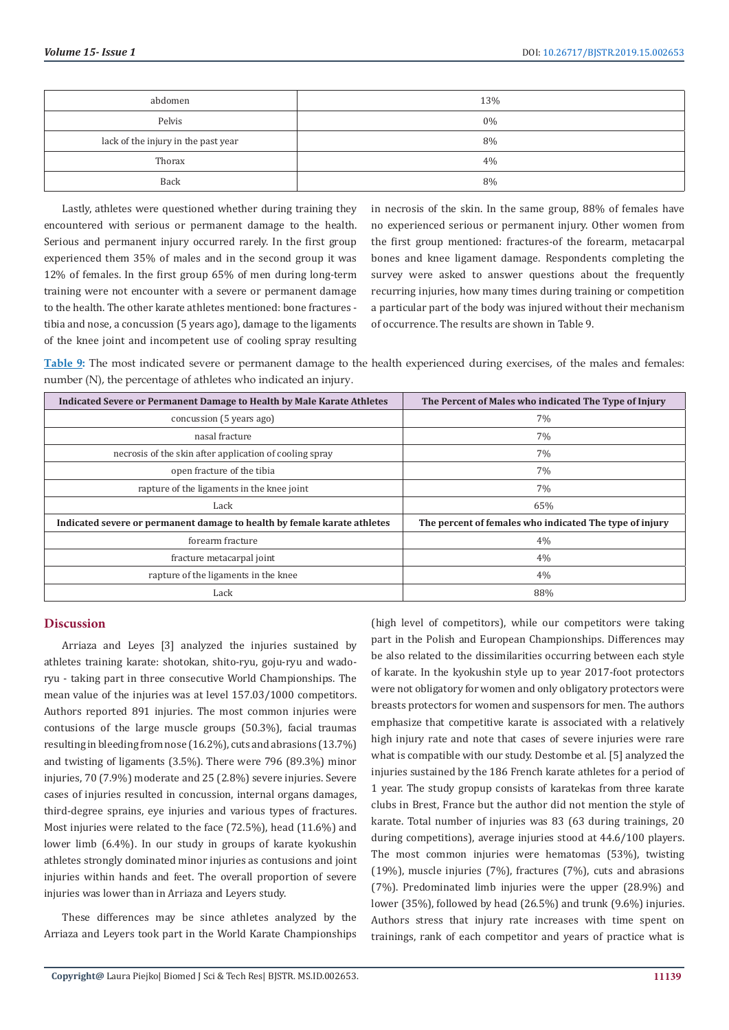| abdomen                             | 13% |
|-------------------------------------|-----|
| Pelvis                              | 0%  |
| lack of the injury in the past year | 8%  |
| Thorax                              | 4%  |
| Back                                | 8%  |

Lastly, athletes were questioned whether during training they encountered with serious or permanent damage to the health. Serious and permanent injury occurred rarely. In the first group experienced them 35% of males and in the second group it was 12% of females. In the first group 65% of men during long-term training were not encounter with a severe or permanent damage to the health. The other karate athletes mentioned: bone fractures tibia and nose, a concussion (5 years ago), damage to the ligaments of the knee joint and incompetent use of cooling spray resulting

in necrosis of the skin. In the same group, 88% of females have no experienced serious or permanent injury. Other women from the first group mentioned: fractures-of the forearm, metacarpal bones and knee ligament damage. Respondents completing the survey were asked to answer questions about the frequently recurring injuries, how many times during training or competition a particular part of the body was injured without their mechanism of occurrence. The results are shown in Table 9.

**Table 9:** The most indicated severe or permanent damage to the health experienced during exercises, of the males and females: number (N), the percentage of athletes who indicated an injury.

| Indicated Severe or Permanent Damage to Health by Male Karate Athletes   | The Percent of Males who indicated The Type of Injury   |
|--------------------------------------------------------------------------|---------------------------------------------------------|
| concussion (5 years ago)                                                 | 7%                                                      |
| nasal fracture                                                           | 7%                                                      |
| necrosis of the skin after application of cooling spray                  | 7%                                                      |
| open fracture of the tibia                                               | 7%                                                      |
| rapture of the ligaments in the knee joint                               | 7%                                                      |
| Lack                                                                     | 65%                                                     |
| Indicated severe or permanent damage to health by female karate athletes | The percent of females who indicated The type of injury |
| forearm fracture                                                         | 4%                                                      |
| fracture metacarpal joint                                                | 4%                                                      |
| rapture of the ligaments in the knee                                     | 4%                                                      |
| Lack                                                                     | 88%                                                     |

# **Discussion**

Arriaza and Leyes [3] analyzed the injuries sustained by athletes training karate: shotokan, shito-ryu, goju-ryu and wadoryu - taking part in three consecutive World Championships. The mean value of the injuries was at level 157.03/1000 competitors. Authors reported 891 injuries. The most common injuries were contusions of the large muscle groups (50.3%), facial traumas resulting in bleeding from nose (16.2%), cuts and abrasions (13.7%) and twisting of ligaments (3.5%). There were 796 (89.3%) minor injuries, 70 (7.9%) moderate and 25 (2.8%) severe injuries. Severe cases of injuries resulted in concussion, internal organs damages, third-degree sprains, eye injuries and various types of fractures. Most injuries were related to the face (72.5%), head (11.6%) and lower limb (6.4%). In our study in groups of karate kyokushin athletes strongly dominated minor injuries as contusions and joint injuries within hands and feet. The overall proportion of severe injuries was lower than in Arriaza and Leyers study.

These differences may be since athletes analyzed by the Arriaza and Leyers took part in the World Karate Championships

(high level of competitors), while our competitors were taking part in the Polish and European Championships. Differences may be also related to the dissimilarities occurring between each style of karate. In the kyokushin style up to year 2017-foot protectors were not obligatory for women and only obligatory protectors were breasts protectors for women and suspensors for men. The authors emphasize that competitive karate is associated with a relatively high injury rate and note that cases of severe injuries were rare what is compatible with our study. Destombe et al. [5] analyzed the injuries sustained by the 186 French karate athletes for a period of 1 year. The study gropup consists of karatekas from three karate clubs in Brest, France but the author did not mention the style of karate. Total number of injuries was 83 (63 during trainings, 20 during competitions), average injuries stood at 44.6/100 players. The most common injuries were hematomas (53%), twisting (19%), muscle injuries (7%), fractures (7%), cuts and abrasions (7%). Predominated limb injuries were the upper (28.9%) and lower (35%), followed by head (26.5%) and trunk (9.6%) injuries. Authors stress that injury rate increases with time spent on trainings, rank of each competitor and years of practice what is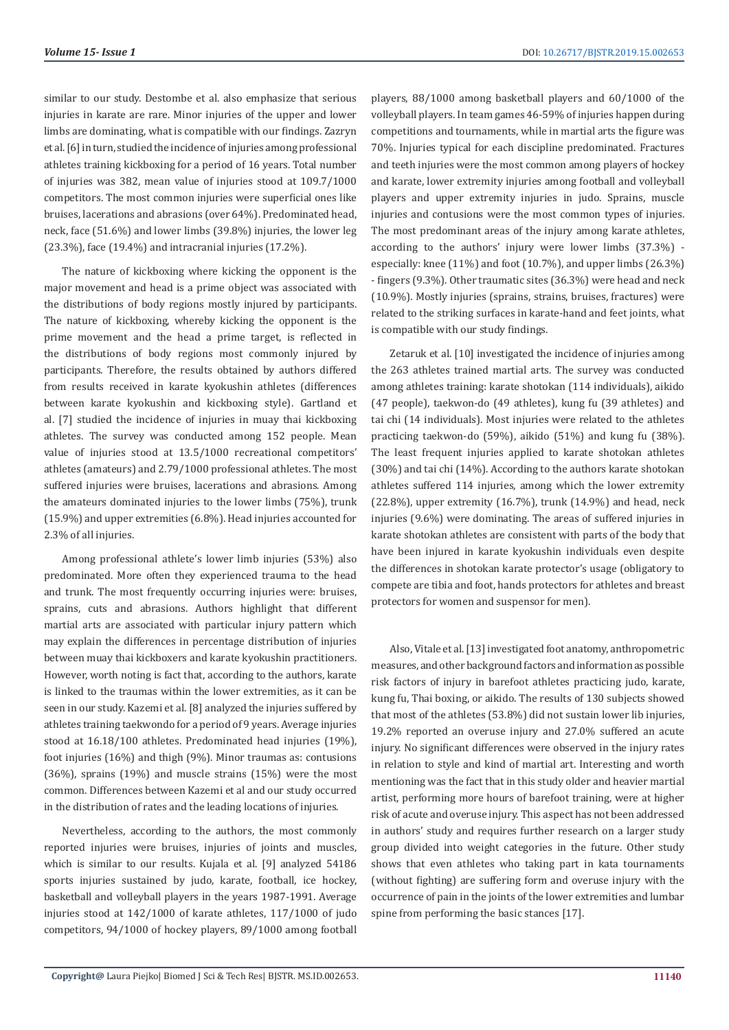similar to our study. Destombe et al. also emphasize that serious injuries in karate are rare. Minor injuries of the upper and lower limbs are dominating, what is compatible with our findings. Zazryn et al. [6] in turn, studied the incidence of injuries among professional athletes training kickboxing for a period of 16 years. Total number of injuries was 382, mean value of injuries stood at 109.7/1000 competitors. The most common injuries were superficial ones like bruises, lacerations and abrasions (over 64%). Predominated head, neck, face (51.6%) and lower limbs (39.8%) injuries, the lower leg (23.3%), face (19.4%) and intracranial injuries (17.2%).

The nature of kickboxing where kicking the opponent is the major movement and head is a prime object was associated with the distributions of body regions mostly injured by participants. The nature of kickboxing, whereby kicking the opponent is the prime movement and the head a prime target, is reflected in the distributions of body regions most commonly injured by participants. Therefore, the results obtained by authors differed from results received in karate kyokushin athletes (differences between karate kyokushin and kickboxing style). Gartland et al. [7] studied the incidence of injuries in muay thai kickboxing athletes. The survey was conducted among 152 people. Mean value of injuries stood at 13.5/1000 recreational competitors' athletes (amateurs) and 2.79/1000 professional athletes. The most suffered injuries were bruises, lacerations and abrasions. Among the amateurs dominated injuries to the lower limbs (75%), trunk (15.9%) and upper extremities (6.8%). Head injuries accounted for 2.3% of all injuries.

Among professional athlete's lower limb injuries (53%) also predominated. More often they experienced trauma to the head and trunk. The most frequently occurring injuries were: bruises, sprains, cuts and abrasions. Authors highlight that different martial arts are associated with particular injury pattern which may explain the differences in percentage distribution of injuries between muay thai kickboxers and karate kyokushin practitioners. However, worth noting is fact that, according to the authors, karate is linked to the traumas within the lower extremities, as it can be seen in our study. Kazemi et al. [8] analyzed the injuries suffered by athletes training taekwondo for a period of 9 years. Average injuries stood at 16.18/100 athletes. Predominated head injuries (19%), foot injuries (16%) and thigh (9%). Minor traumas as: contusions (36%), sprains (19%) and muscle strains (15%) were the most common. Differences between Kazemi et al and our study occurred in the distribution of rates and the leading locations of injuries.

Nevertheless, according to the authors, the most commonly reported injuries were bruises, injuries of joints and muscles, which is similar to our results. Kujala et al. [9] analyzed 54186 sports injuries sustained by judo, karate, football, ice hockey, basketball and volleyball players in the years 1987-1991. Average injuries stood at 142/1000 of karate athletes, 117/1000 of judo competitors, 94/1000 of hockey players, 89/1000 among football

players, 88/1000 among basketball players and 60/1000 of the volleyball players. In team games 46-59% of injuries happen during competitions and tournaments, while in martial arts the figure was 70%. Injuries typical for each discipline predominated. Fractures and teeth injuries were the most common among players of hockey and karate, lower extremity injuries among football and volleyball players and upper extremity injuries in judo. Sprains, muscle injuries and contusions were the most common types of injuries. The most predominant areas of the injury among karate athletes, according to the authors' injury were lower limbs (37.3%) especially: knee (11%) and foot (10.7%), and upper limbs (26.3%) - fingers (9.3%). Other traumatic sites (36.3%) were head and neck (10.9%). Mostly injuries (sprains, strains, bruises, fractures) were related to the striking surfaces in karate-hand and feet joints, what is compatible with our study findings.

Zetaruk et al. [10] investigated the incidence of injuries among the 263 athletes trained martial arts. The survey was conducted among athletes training: karate shotokan (114 individuals), aikido (47 people), taekwon-do (49 athletes), kung fu (39 athletes) and tai chi (14 individuals). Most injuries were related to the athletes practicing taekwon-do (59%), aikido (51%) and kung fu (38%). The least frequent injuries applied to karate shotokan athletes (30%) and tai chi (14%). According to the authors karate shotokan athletes suffered 114 injuries, among which the lower extremity (22.8%), upper extremity (16.7%), trunk (14.9%) and head, neck injuries (9.6%) were dominating. The areas of suffered injuries in karate shotokan athletes are consistent with parts of the body that have been injured in karate kyokushin individuals even despite the differences in shotokan karate protector's usage (obligatory to compete are tibia and foot, hands protectors for athletes and breast protectors for women and suspensor for men).

Also, Vitale et al. [13] investigated foot anatomy, anthropometric measures, and other background factors and information as possible risk factors of injury in barefoot athletes practicing judo, karate, kung fu, Thai boxing, or aikido. The results of 130 subjects showed that most of the athletes (53.8%) did not sustain lower lib injuries, 19.2% reported an overuse injury and 27.0% suffered an acute injury. No significant differences were observed in the injury rates in relation to style and kind of martial art. Interesting and worth mentioning was the fact that in this study older and heavier martial artist, performing more hours of barefoot training, were at higher risk of acute and overuse injury. This aspect has not been addressed in authors' study and requires further research on a larger study group divided into weight categories in the future. Other study shows that even athletes who taking part in kata tournaments (without fighting) are suffering form and overuse injury with the occurrence of pain in the joints of the lower extremities and lumbar spine from performing the basic stances [17].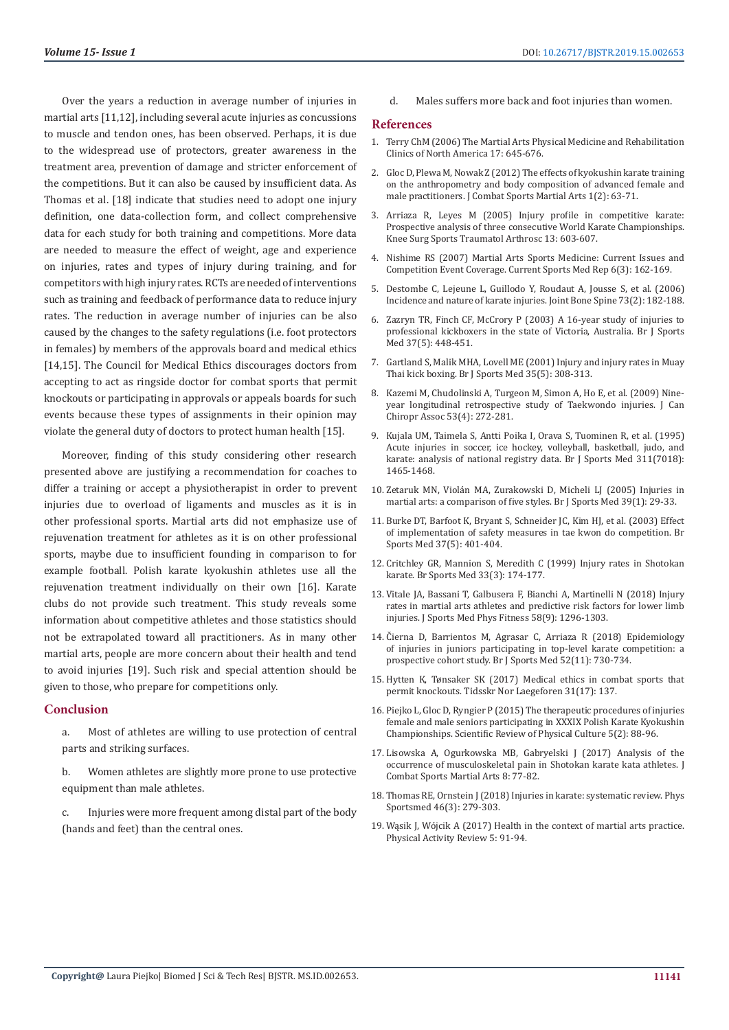Over the years a reduction in average number of injuries in martial arts [11,12], including several acute injuries as concussions to muscle and tendon ones, has been observed. Perhaps, it is due to the widespread use of protectors, greater awareness in the treatment area, prevention of damage and stricter enforcement of the competitions. But it can also be caused by insufficient data. As Thomas et al. [18] indicate that studies need to adopt one injury definition, one data-collection form, and collect comprehensive data for each study for both training and competitions. More data are needed to measure the effect of weight, age and experience on injuries, rates and types of injury during training, and for competitors with high injury rates. RCTs are needed of interventions such as training and feedback of performance data to reduce injury rates. The reduction in average number of injuries can be also caused by the changes to the safety regulations (i.e. foot protectors in females) by members of the approvals board and medical ethics [14,15]. The Council for Medical Ethics discourages doctors from accepting to act as ringside doctor for combat sports that permit knockouts or participating in approvals or appeals boards for such events because these types of assignments in their opinion may violate the general duty of doctors to protect human health [15].

Moreover, finding of this study considering other research presented above are justifying a recommendation for coaches to differ a training or accept a physiotherapist in order to prevent injuries due to overload of ligaments and muscles as it is in other professional sports. Martial arts did not emphasize use of rejuvenation treatment for athletes as it is on other professional sports, maybe due to insufficient founding in comparison to for example football. Polish karate kyokushin athletes use all the rejuvenation treatment individually on their own [16]. Karate clubs do not provide such treatment. This study reveals some information about competitive athletes and those statistics should not be extrapolated toward all practitioners. As in many other martial arts, people are more concern about their health and tend to avoid injuries [19]. Such risk and special attention should be given to those, who prepare for competitions only.

#### **Conclusion**

a. Most of athletes are willing to use protection of central parts and striking surfaces.

b. Women athletes are slightly more prone to use protective equipment than male athletes.

c. Injuries were more frequent among distal part of the body (hands and feet) than the central ones.

d. Males suffers more back and foot injuries than women.

#### **References**

- 1. Terry ChM (2006) The Martial Arts Physical Medicine and Rehabilitation Clinics of North America 17: 645-676.
- 2. Gloc D, Plewa M, Nowak Z (2012) The effects of kyokushin karate training on the anthropometry and body composition of advanced female and male practitioners. J Combat Sports Martial Arts 1(2): 63-71.
- 3. Arriaza R, Leyes M (2005) Injury profile in competitive karate: Prospective analysis of three consecutive World Karate Championships. Knee Surg Sports Traumatol Arthrosc 13: 603-607.
- 4. Nishime RS (2007) Martial Arts Sports Medicine: Current Issues and Competition Event Coverage. Current Sports Med Rep 6(3): 162-169.
- 5. Destombe C, Lejeune L, Guillodo Y, Roudaut A, Jousse S, et al. (2006) Incidence and nature of karate injuries. Joint Bone Spine 73(2): 182-188.
- 6. Zazryn TR, Finch CF, McCrory P (2003) A 16-year study of injuries to professional kickboxers in the state of Victoria, Australia. Br J Sports Med 37(5): 448-451.
- 7. Gartland S, Malik MHA, Lovell ME (2001) Injury and injury rates in Muay Thai kick boxing. Br J Sports Med 35(5): 308-313.
- 8. Kazemi M, Chudolinski A, Turgeon M, Simon A, Ho E, et al. (2009) Nineyear longitudinal retrospective study of Taekwondo injuries. J Can Chiropr Assoc 53(4): 272-281.
- 9. Kujala UM, Taimela S, Antti Poika I, Orava S, Tuominen R, et al. (1995) Acute injuries in soccer, ice hockey, volleyball, basketball, judo, and karate: analysis of national registry data. Br J Sports Med 311(7018): 1465-1468.
- 10. Zetaruk MN, Violán MA, Zurakowski D, Micheli LJ (2005) Injuries in martial arts: a comparison of five styles. Br J Sports Med 39(1): 29-33.
- 11. Burke DT, Barfoot K, Bryant S, Schneider JC, Kim HJ, et al. (2003) Effect of implementation of safety measures in tae kwon do competition. Br Sports Med 37(5): 401-404.
- 12. Critchley GR, Mannion S, Meredith C (1999) Injury rates in Shotokan karate. Br Sports Med 33(3): 174-177.
- 13. Vitale JA, Bassani T, Galbusera F, Bianchi A, Martinelli N (2018) Injury rates in martial arts athletes and predictive risk factors for lower limb injuries. J Sports Med Phys Fitness 58(9): 1296-1303.
- 14. Čierna D, Barrientos M, Agrasar C, Arriaza R (2018) Epidemiology of injuries in juniors participating in top-level karate competition: a prospective cohort study. Br J Sports Med 52(11): 730-734.
- 15. Hytten K, Tønsaker SK (2017) Medical ethics in combat sports that permit knockouts. Tidsskr Nor Laegeforen 31(17): 137.
- 16. Piejko L, Gloc D, Ryngier P (2015) The therapeutic procedures of injuries female and male seniors participating in XXXIX Polish Karate Kyokushin Championships. Scientific Review of Physical Culture 5(2): 88-96.
- 17. Lisowska A, Ogurkowska MB, Gabryelski J (2017) Analysis of the occurrence of musculoskeletal pain in Shotokan karate kata athletes. J Combat Sports Martial Arts 8: 77-82.
- 18. Thomas RE, Ornstein J (2018) Injuries in karate: systematic review. Phys Sportsmed 46(3): 279-303.
- 19. Wąsik J, Wójcik A (2017) Health in the context of martial arts practice. Physical Activity Review 5: 91-94.